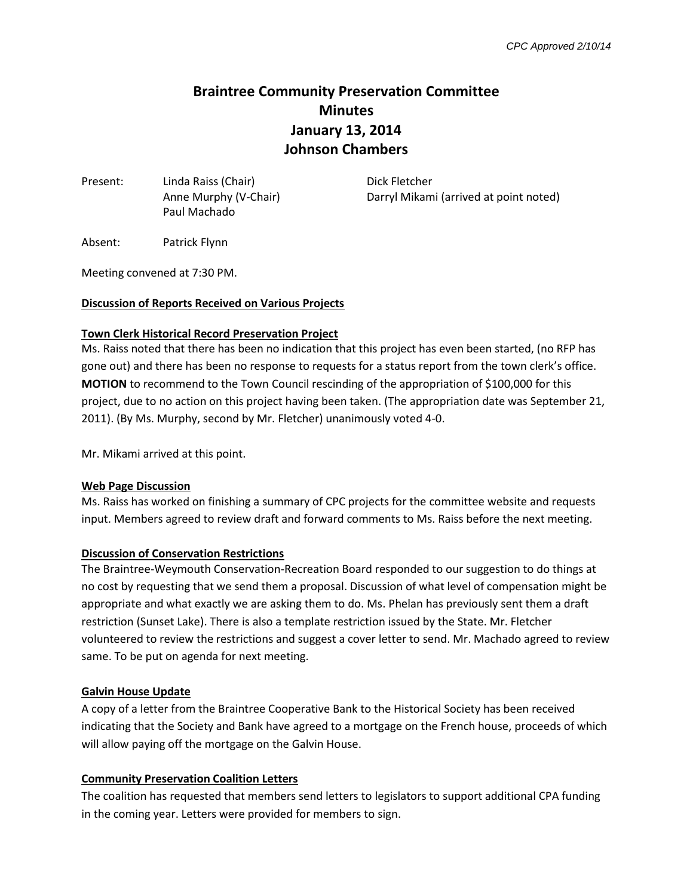# **Braintree Community Preservation Committee Minutes January 13, 2014 Johnson Chambers**

Present: Linda Raiss (Chair) Dick Fletcher Paul Machado

Anne Murphy (V-Chair) Darryl Mikami (arrived at point noted)

Absent: Patrick Flynn

Meeting convened at 7:30 PM.

# **Discussion of Reports Received on Various Projects**

#### **Town Clerk Historical Record Preservation Project**

Ms. Raiss noted that there has been no indication that this project has even been started, (no RFP has gone out) and there has been no response to requests for a status report from the town clerk's office. **MOTION** to recommend to the Town Council rescinding of the appropriation of \$100,000 for this project, due to no action on this project having been taken. (The appropriation date was September 21, 2011). (By Ms. Murphy, second by Mr. Fletcher) unanimously voted 4-0.

Mr. Mikami arrived at this point.

#### **Web Page Discussion**

Ms. Raiss has worked on finishing a summary of CPC projects for the committee website and requests input. Members agreed to review draft and forward comments to Ms. Raiss before the next meeting.

# **Discussion of Conservation Restrictions**

The Braintree-Weymouth Conservation-Recreation Board responded to our suggestion to do things at no cost by requesting that we send them a proposal. Discussion of what level of compensation might be appropriate and what exactly we are asking them to do. Ms. Phelan has previously sent them a draft restriction (Sunset Lake). There is also a template restriction issued by the State. Mr. Fletcher volunteered to review the restrictions and suggest a cover letter to send. Mr. Machado agreed to review same. To be put on agenda for next meeting.

# **Galvin House Update**

A copy of a letter from the Braintree Cooperative Bank to the Historical Society has been received indicating that the Society and Bank have agreed to a mortgage on the French house, proceeds of which will allow paying off the mortgage on the Galvin House.

# **Community Preservation Coalition Letters**

The coalition has requested that members send letters to legislators to support additional CPA funding in the coming year. Letters were provided for members to sign.